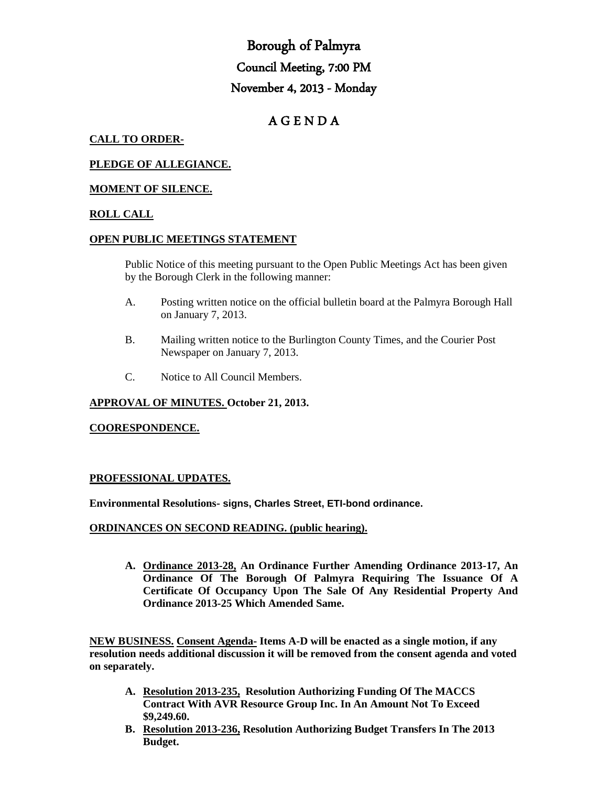# Borough of Palmyra Council Meeting, 7:00 PM November 4, 2013 - Monday

# A G E N D A

### **CALL TO ORDER-**

# **PLEDGE OF ALLEGIANCE.**

# **MOMENT OF SILENCE.**

#### **ROLL CALL**

#### **OPEN PUBLIC MEETINGS STATEMENT**

Public Notice of this meeting pursuant to the Open Public Meetings Act has been given by the Borough Clerk in the following manner:

- A. Posting written notice on the official bulletin board at the Palmyra Borough Hall on January 7, 2013.
- B. Mailing written notice to the Burlington County Times, and the Courier Post Newspaper on January 7, 2013.
- C. Notice to All Council Members.

#### **APPROVAL OF MINUTES. October 21, 2013.**

#### **COORESPONDENCE.**

## **PROFESSIONAL UPDATES.**

**Environmental Resolutions- signs, Charles Street, ETI-bond ordinance.**

#### **ORDINANCES ON SECOND READING. (public hearing).**

**A. Ordinance 2013-28, An Ordinance Further Amending Ordinance 2013-17, An Ordinance Of The Borough Of Palmyra Requiring The Issuance Of A Certificate Of Occupancy Upon The Sale Of Any Residential Property And Ordinance 2013-25 Which Amended Same.** 

**NEW BUSINESS. Consent Agenda- Items A-D will be enacted as a single motion, if any resolution needs additional discussion it will be removed from the consent agenda and voted on separately.**

- **A. Resolution 2013-235, Resolution Authorizing Funding Of The MACCS Contract With AVR Resource Group Inc. In An Amount Not To Exceed \$9,249.60.**
- **B. Resolution 2013-236, Resolution Authorizing Budget Transfers In The 2013 Budget.**